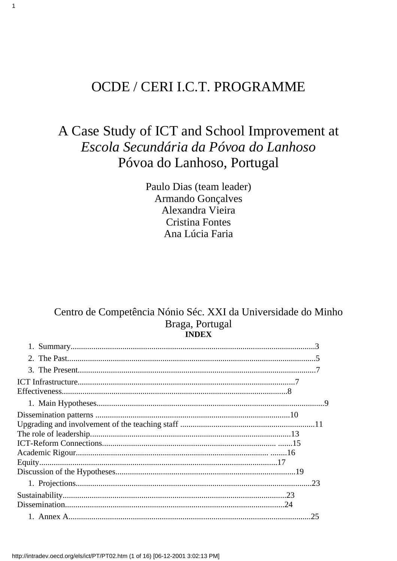# OCDE / CERI I.C.T. PROGRAMME

 $\mathbf{1}$ 

# A Case Study of ICT and School Improvement at Escola Secundária da Póvoa do Lanhoso Póvoa do Lanhoso, Portugal

Paulo Dias (team leader) **Armando Gonçalves** Alexandra Vieira **Cristina Fontes** Ana Lúcia Faria

# Centro de Competência Nónio Séc. XXI da Universidade do Minho Braga, Portugal **INDEX**

| 25 |
|----|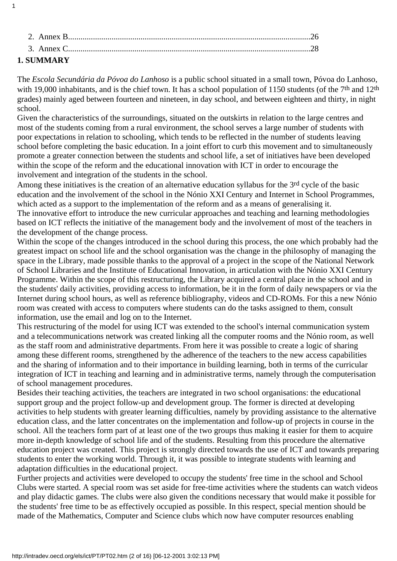| 1. SUMMARY   |  |
|--------------|--|
|              |  |
| - 2. Annex B |  |

1

The *Escola Secundária da Póvoa do Lanhoso* is a public school situated in a small town, Póvoa do Lanhoso, with 19,000 inhabitants, and is the chief town. It has a school population of 1150 students (of the 7<sup>th</sup> and 12<sup>th</sup> grades) mainly aged between fourteen and nineteen, in day school, and between eighteen and thirty, in night school.

Given the characteristics of the surroundings, situated on the outskirts in relation to the large centres and most of the students coming from a rural environment, the school serves a large number of students with poor expectations in relation to schooling, which tends to be reflected in the number of students leaving school before completing the basic education. In a joint effort to curb this movement and to simultaneously promote a greater connection between the students and school life, a set of initiatives have been developed within the scope of the reform and the educational innovation with ICT in order to encourage the involvement and integration of the students in the school.

Among these initiatives is the creation of an alternative education syllabus for the 3<sup>rd</sup> cycle of the basic education and the involvement of the school in the Nónio XXI Century and Internet in School Programmes, which acted as a support to the implementation of the reform and as a means of generalising it. The innovative effort to introduce the new curricular approaches and teaching and learning methodologies based on ICT reflects the initiative of the management body and the involvement of most of the teachers in the development of the change process.

Within the scope of the changes introduced in the school during this process, the one which probably had the greatest impact on school life and the school organisation was the change in the philosophy of managing the space in the Library, made possible thanks to the approval of a project in the scope of the National Network of School Libraries and the Institute of Educational Innovation, in articulation with the Nónio XXI Century Programme. Within the scope of this restructuring, the Library acquired a central place in the school and in the students' daily activities, providing access to information, be it in the form of daily newspapers or via the Internet during school hours, as well as reference bibliography, videos and CD-ROMs. For this a new Nónio room was created with access to computers where students can do the tasks assigned to them, consult information, use the email and log on to the Internet.

This restructuring of the model for using ICT was extended to the school's internal communication system and a telecommunications network was created linking all the computer rooms and the Nónio room, as well as the staff room and administrative departments. From here it was possible to create a logic of sharing among these different rooms, strengthened by the adherence of the teachers to the new access capabilities and the sharing of information and to their importance in building learning, both in terms of the curricular integration of ICT in teaching and learning and in administrative terms, namely through the computerisation of school management procedures.

Besides their teaching activities, the teachers are integrated in two school organisations: the educational support group and the project follow-up and development group. The former is directed at developing activities to help students with greater learning difficulties, namely by providing assistance to the alternative education class, and the latter concentrates on the implementation and follow-up of projects in course in the school. All the teachers form part of at least one of the two groups thus making it easier for them to acquire more in-depth knowledge of school life and of the students. Resulting from this procedure the alternative education project was created. This project is strongly directed towards the use of ICT and towards preparing students to enter the working world. Through it, it was possible to integrate students with learning and adaptation difficulties in the educational project.

Further projects and activities were developed to occupy the students' free time in the school and School Clubs were started. A special room was set aside for free-time activities where the students can watch videos and play didactic games. The clubs were also given the conditions necessary that would make it possible for the students' free time to be as effectively occupied as possible. In this respect, special mention should be made of the Mathematics, Computer and Science clubs which now have computer resources enabling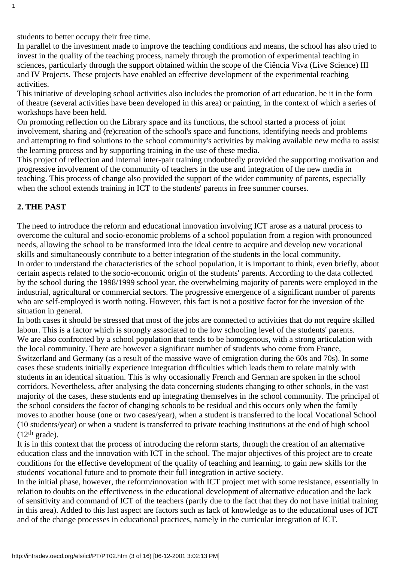students to better occupy their free time.

In parallel to the investment made to improve the teaching conditions and means, the school has also tried to invest in the quality of the teaching process, namely through the promotion of experimental teaching in sciences, particularly through the support obtained within the scope of the Ciência Viva (Live Science) III and IV Projects. These projects have enabled an effective development of the experimental teaching activities.

This initiative of developing school activities also includes the promotion of art education, be it in the form of theatre (several activities have been developed in this area) or painting, in the context of which a series of workshops have been held.

On promoting reflection on the Library space and its functions, the school started a process of joint involvement, sharing and (re)creation of the school's space and functions, identifying needs and problems and attempting to find solutions to the school community's activities by making available new media to assist the learning process and by supporting training in the use of these media.

This project of reflection and internal inter-pair training undoubtedly provided the supporting motivation and progressive involvement of the community of teachers in the use and integration of the new media in teaching. This process of change also provided the support of the wider community of parents, especially when the school extends training in ICT to the students' parents in free summer courses.

## **2. THE PAST**

1

The need to introduce the reform and educational innovation involving ICT arose as a natural process to overcome the cultural and socio-economic problems of a school population from a region with pronounced needs, allowing the school to be transformed into the ideal centre to acquire and develop new vocational skills and simultaneously contribute to a better integration of the students in the local community. In order to understand the characteristics of the school population, it is important to think, even briefly, about certain aspects related to the socio-economic origin of the students' parents. According to the data collected by the school during the 1998/1999 school year, the overwhelming majority of parents were employed in the industrial, agricultural or commercial sectors. The progressive emergence of a significant number of parents who are self-employed is worth noting. However, this fact is not a positive factor for the inversion of the situation in general.

In both cases it should be stressed that most of the jobs are connected to activities that do not require skilled labour. This is a factor which is strongly associated to the low schooling level of the students' parents. We are also confronted by a school population that tends to be homogenous, with a strong articulation with the local community. There are however a significant number of students who come from France, Switzerland and Germany (as a result of the massive wave of emigration during the 60s and 70s). In some cases these students initially experience integration difficulties which leads them to relate mainly with students in an identical situation. This is why occasionally French and German are spoken in the school corridors. Nevertheless, after analysing the data concerning students changing to other schools, in the vast majority of the cases, these students end up integrating themselves in the school community. The principal of the school considers the factor of changing schools to be residual and this occurs only when the family moves to another house (one or two cases/year), when a student is transferred to the local Vocational School (10 students/year) or when a student is transferred to private teaching institutions at the end of high school  $(12<sup>th</sup> grade).$ 

It is in this context that the process of introducing the reform starts, through the creation of an alternative education class and the innovation with ICT in the school. The major objectives of this project are to create conditions for the effective development of the quality of teaching and learning, to gain new skills for the students' vocational future and to promote their full integration in active society.

In the initial phase, however, the reform/innovation with ICT project met with some resistance, essentially in relation to doubts on the effectiveness in the educational development of alternative education and the lack of sensitivity and command of ICT of the teachers (partly due to the fact that they do not have initial training in this area). Added to this last aspect are factors such as lack of knowledge as to the educational uses of ICT and of the change processes in educational practices, namely in the curricular integration of ICT.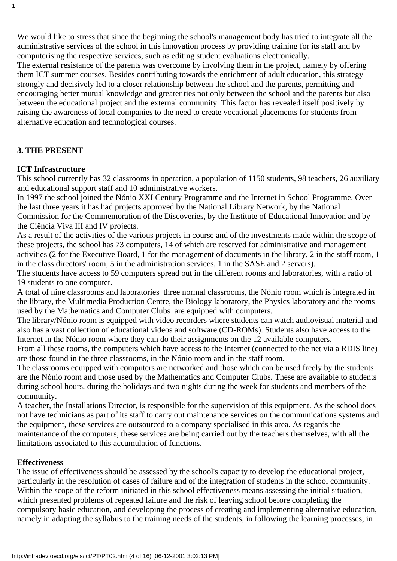We would like to stress that since the beginning the school's management body has tried to integrate all the administrative services of the school in this innovation process by providing training for its staff and by computerising the respective services, such as editing student evaluations electronically. The external resistance of the parents was overcome by involving them in the project, namely by offering them ICT summer courses. Besides contributing towards the enrichment of adult education, this strategy strongly and decisively led to a closer relationship between the school and the parents, permitting and encouraging better mutual knowledge and greater ties not only between the school and the parents but also

between the educational project and the external community. This factor has revealed itself positively by raising the awareness of local companies to the need to create vocational placements for students from alternative education and technological courses.

# **3. THE PRESENT**

1

# **ICT Infrastructure**

This school currently has 32 classrooms in operation, a population of 1150 students, 98 teachers, 26 auxiliary and educational support staff and 10 administrative workers.

In 1997 the school joined the Nónio XXI Century Programme and the Internet in School Programme. Over the last three years it has had projects approved by the National Library Network, by the National Commission for the Commemoration of the Discoveries, by the Institute of Educational Innovation and by the Ciência Viva III and IV projects.

As a result of the activities of the various projects in course and of the investments made within the scope of these projects, the school has 73 computers, 14 of which are reserved for administrative and management activities (2 for the Executive Board, 1 for the management of documents in the library, 2 in the staff room, 1 in the class directors' room, 5 in the administration services, 1 in the SASE and 2 servers).

The students have access to 59 computers spread out in the different rooms and laboratories, with a ratio of 19 students to one computer.

A total of nine classrooms and laboratories three normal classrooms, the Nónio room which is integrated in the library, the Multimedia Production Centre, the Biology laboratory, the Physics laboratory and the rooms used by the Mathematics and Computer Clubs are equipped with computers.

The library/Nónio room is equipped with video recorders where students can watch audiovisual material and also has a vast collection of educational videos and software (CD-ROMs). Students also have access to the Internet in the Nónio room where they can do their assignments on the 12 available computers.

From all these rooms, the computers which have access to the Internet (connected to the net via a RDIS line) are those found in the three classrooms, in the Nónio room and in the staff room.

The classrooms equipped with computers are networked and those which can be used freely by the students are the Nónio room and those used by the Mathematics and Computer Clubs. These are available to students during school hours, during the holidays and two nights during the week for students and members of the community.

A teacher, the Installations Director, is responsible for the supervision of this equipment. As the school does not have technicians as part of its staff to carry out maintenance services on the communications systems and the equipment, these services are outsourced to a company specialised in this area. As regards the maintenance of the computers, these services are being carried out by the teachers themselves, with all the limitations associated to this accumulation of functions.

## **Effectiveness**

The issue of effectiveness should be assessed by the school's capacity to develop the educational project, particularly in the resolution of cases of failure and of the integration of students in the school community. Within the scope of the reform initiated in this school effectiveness means assessing the initial situation, which presented problems of repeated failure and the risk of leaving school before completing the compulsory basic education, and developing the process of creating and implementing alternative education, namely in adapting the syllabus to the training needs of the students, in following the learning processes, in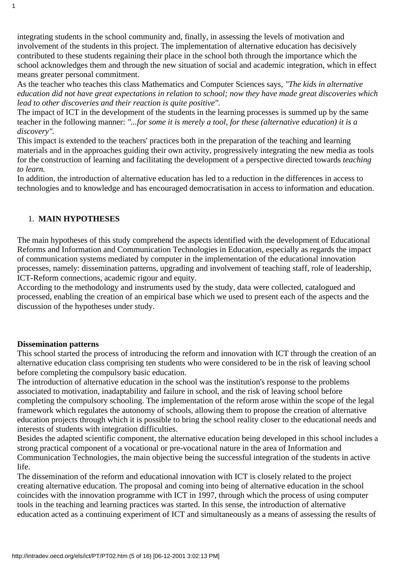integrating students in the school community and, finally, in assessing the levels of motivation and involvement of the students in this project. The implementation of alternative education has decisively contributed to these students regaining their place in the school both through the importance which the school acknowledges them and through the new situation of social and academic integration, which in effect means greater personal commitment.

As the teacher who teaches this class Mathematics and Computer Sciences says, *"The kids in alternative education did not have great expectations in relation to school; now they have made great discoveries which lead to other discoveries and their reaction is quite positive".*

The impact of ICT in the development of the students in the learning processes is summed up by the same teacher in the following manner: *"...for some it is merely a tool, for these (alternative education) it is a discovery".*

This impact is extended to the teachers' practices both in the preparation of the teaching and learning materials and in the approaches guiding their own activity, progressively integrating the new media as tools for the construction of learning and facilitating the development of a perspective directed towards *teaching to learn.*

In addition, the introduction of alternative education has led to a reduction in the differences in access to technologies and to knowledge and has encouraged democratisation in access to information and education.

# 1. **MAIN HYPOTHESES**

1

The main hypotheses of this study comprehend the aspects identified with the development of Educational Reforms and Information and Communication Technologies in Education, especially as regards the impact of communication systems mediated by computer in the implementation of the educational innovation processes, namely: dissemination patterns, upgrading and involvement of teaching staff, role of leadership, ICT-Reform connections, academic rigour and equity.

According to the methodology and instruments used by the study, data were collected, catalogued and processed, enabling the creation of an empirical base which we used to present each of the aspects and the discussion of the hypotheses under study.

## **Dissemination patterns**

This school started the process of introducing the reform and innovation with ICT through the creation of an alternative education class comprising ten students who were considered to be in the risk of leaving school before completing the compulsory basic education.

The introduction of alternative education in the school was the institution's response to the problems associated to motivation, inadaptability and failure in school, and the risk of leaving school before completing the compulsory schooling. The implementation of the reform arose within the scope of the legal framework which regulates the autonomy of schools, allowing them to propose the creation of alternative education projects through which it is possible to bring the school reality closer to the educational needs and interests of students with integration difficulties.

Besides the adapted scientific component, the alternative education being developed in this school includes a strong practical component of a vocational or pre-vocational nature in the area of Information and Communication Technologies, the main objective being the successful integration of the students in active life.

The dissemination of the reform and educational innovation with ICT is closely related to the project creating alternative education. The proposal and coming into being of alternative education in the school coincides with the innovation programme with ICT in 1997, through which the process of using computer tools in the teaching and learning practices was started. In this sense, the introduction of alternative education acted as a continuing experiment of ICT and simultaneously as a means of assessing the results of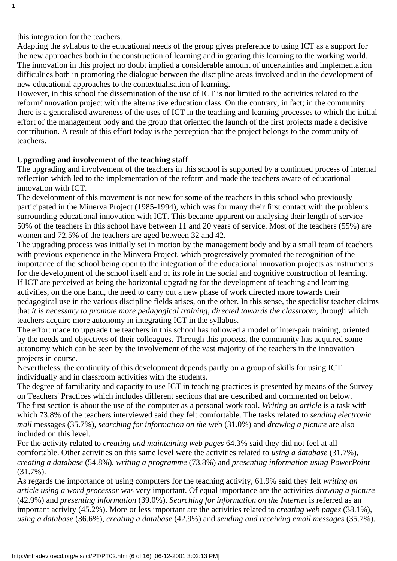this integration for the teachers.

1

Adapting the syllabus to the educational needs of the group gives preference to using ICT as a support for the new approaches both in the construction of learning and in gearing this learning to the working world. The innovation in this project no doubt implied a considerable amount of uncertainties and implementation difficulties both in promoting the dialogue between the discipline areas involved and in the development of new educational approaches to the contextualisation of learning.

However, in this school the dissemination of the use of ICT is not limited to the activities related to the reform/innovation project with the alternative education class. On the contrary, in fact; in the community there is a generalised awareness of the uses of ICT in the teaching and learning processes to which the initial effort of the management body and the group that oriented the launch of the first projects made a decisive contribution. A result of this effort today is the perception that the project belongs to the community of teachers.

#### **Upgrading and involvement of the teaching staff**

The upgrading and involvement of the teachers in this school is supported by a continued process of internal reflection which led to the implementation of the reform and made the teachers aware of educational innovation with ICT.

The development of this movement is not new for some of the teachers in this school who previously participated in the Minerva Project (1985-1994), which was for many their first contact with the problems surrounding educational innovation with ICT. This became apparent on analysing their length of service 50% of the teachers in this school have between 11 and 20 years of service. Most of the teachers (55%) are women and 72.5% of the teachers are aged between 32 and 42.

The upgrading process was initially set in motion by the management body and by a small team of teachers with previous experience in the Minvera Project, which progressively promoted the recognition of the importance of the school being open to the integration of the educational innovation projects as instruments for the development of the school itself and of its role in the social and cognitive construction of learning. If ICT are perceived as being the horizontal upgrading for the development of teaching and learning activities, on the one hand, the need to carry out a new phase of work directed more towards their pedagogical use in the various discipline fields arises, on the other. In this sense, the specialist teacher claims that *it is necessary to promote more pedagogical training, directed towards the classroom,* through which teachers acquire more autonomy in integrating ICT in the syllabus.

The effort made to upgrade the teachers in this school has followed a model of inter-pair training, oriented by the needs and objectives of their colleagues. Through this process, the community has acquired some autonomy which can be seen by the involvement of the vast majority of the teachers in the innovation projects in course.

Nevertheless, the continuity of this development depends partly on a group of skills for using ICT individually and in classroom activities with the students.

The degree of familiarity and capacity to use ICT in teaching practices is presented by means of the Survey on Teachers' Practices which includes different sections that are described and commented on below. The first section is about the use of the computer as a personal work tool. *Writing an article* is a task with which 73.8% of the teachers interviewed said they felt comfortable. The tasks related to *sending electronic mail* messages (35.7%), *searching for information on the* web (31.0%) and *drawing a picture* are also included on this level.

For the activity related to *creating and maintaining web pages* 64.3% said they did not feel at all comfortable. Other activities on this same level were the activities related to *using a database* (31.7%), *creating a database* (54.8%), *writing a programme* (73.8%) and *presenting information using PowerPoint* (31.7%).

As regards the importance of using computers for the teaching activity, 61.9% said they felt *writing an article using a word processor* was very important. Of equal importance are the activities *drawing a picture* (42.9%) and *presenting information* (39.0%). *Searching for information on the Internet* is referred as an important activity (45.2%). More or less important are the activities related to *creating web pages* (38.1%), *using a database* (36.6%), *creating a database* (42.9%) and *sending and receiving email messages* (35.7%).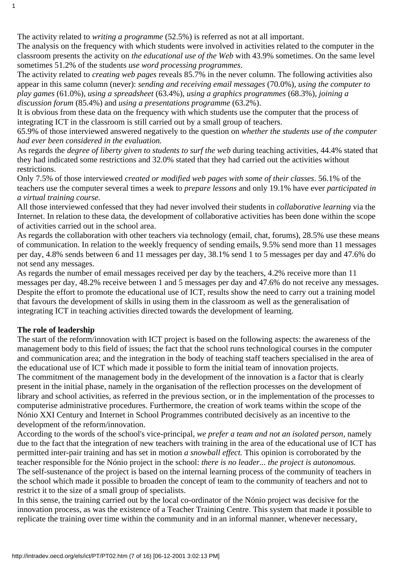The activity related to *writing a programme* (52.5%) is referred as not at all important.

The analysis on the frequency with which students were involved in activities related to the computer in the classroom presents the activity on *the educational use of the Web* with 43.9% sometimes. On the same level sometimes 51.2% of the students *use word processing programmes*.

The activity related to *creating web pages* reveals 85.7% in the never column. The following activities also appear in this same column (never): *sending and receiving email messages* (70.0%), *using the computer to play games* (61.0%), *using a spreadsheet* (63.4%), *using a graphics programmes* (68.3%), *joining a discussion forum* (85.4%) and *using a presentations programme* (63.2%).

It is obvious from these data on the frequency with which students use the computer that the process of integrating ICT in the classroom is still carried out by a small group of teachers.

65.9% of those interviewed answered negatively to the question on *whether the students use of the computer had ever been considered in the evaluation.*

As regards the *degree of liberty given to students to surf the web* during teaching activities, 44.4% stated that they had indicated some restrictions and 32.0% stated that they had carried out the activities without restrictions.

Only 7.5% of those interviewed *created or modified web pages with some of their classes*. 56.1% of the teachers use the computer several times a week to *prepare lessons* and only 19.1% have ever *participated in a virtual training course.*

All those interviewed confessed that they had never involved their students in *collaborative learning* via the Internet. In relation to these data, the development of collaborative activities has been done within the scope of activities carried out in the school area.

As regards the collaboration with other teachers via technology (email, chat, forums), 28.5% use these means of communication. In relation to the weekly frequency of sending emails, 9.5% send more than 11 messages per day, 4.8% sends between 6 and 11 messages per day, 38.1% send 1 to 5 messages per day and 47.6% do not send any messages.

As regards the number of email messages received per day by the teachers, 4.2% receive more than 11 messages per day, 48.2% receive between 1 and 5 messages per day and 47.6% do not receive any messages. Despite the effort to promote the educational use of ICT, results show the need to carry out a training model that favours the development of skills in using them in the classroom as well as the generalisation of integrating ICT in teaching activities directed towards the development of learning.

## **The role of leadership**

1

The start of the reform/innovation with ICT project is based on the following aspects: the awareness of the management body to this field of issues; the fact that the school runs technological courses in the computer and communication area; and the integration in the body of teaching staff teachers specialised in the area of the educational use of ICT which made it possible to form the initial team of innovation projects. The commitment of the management body in the development of the innovation is a factor that is clearly present in the initial phase, namely in the organisation of the reflection processes on the development of library and school activities, as referred in the previous section, or in the implementation of the processes to computerise administrative procedures. Furthermore, the creation of work teams within the scope of the Nónio XXI Century and Internet in School Programmes contributed decisively as an incentive to the development of the reform/innovation.

According to the words of the school's vice-principal, *we prefer a team and not an isolated person,* namely due to the fact that the integration of new teachers with training in the area of the educational use of ICT has permitted inter-pair training and has set in motion *a snowball effect.* This opinion is corroborated by the teacher responsible for the Nónio project in the school: *there is no leader... the project is autonomous.* The self-sustenance of the project is based on the internal learning process of the community of teachers in the school which made it possible to broaden the concept of team to the community of teachers and not to restrict it to the size of a small group of specialists.

In this sense, the training carried out by the local co-ordinator of the Nónio project was decisive for the innovation process, as was the existence of a Teacher Training Centre. This system that made it possible to replicate the training over time within the community and in an informal manner, whenever necessary,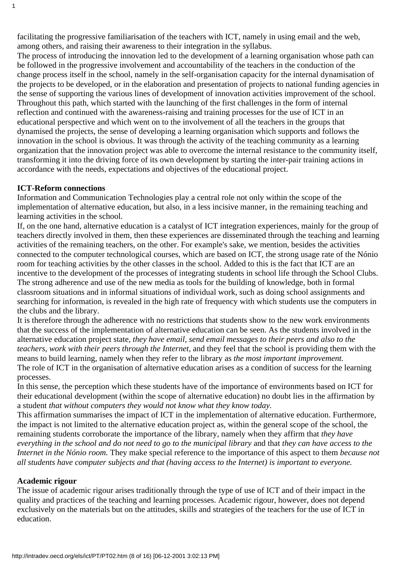facilitating the progressive familiarisation of the teachers with ICT, namely in using email and the web, among others, and raising their awareness to their integration in the syllabus.

The process of introducing the innovation led to the development of a learning organisation whose path can be followed in the progressive involvement and accountability of the teachers in the conduction of the change process itself in the school, namely in the self-organisation capacity for the internal dynamisation of the projects to be developed, or in the elaboration and presentation of projects to national funding agencies in the sense of supporting the various lines of development of innovation activities improvement of the school. Throughout this path, which started with the launching of the first challenges in the form of internal reflection and continued with the awareness-raising and training processes for the use of ICT in an educational perspective and which went on to the involvement of all the teachers in the groups that dynamised the projects, the sense of developing a learning organisation which supports and follows the innovation in the school is obvious. It was through the activity of the teaching community as a learning organization that the innovation project was able to overcome the internal resistance to the community itself, transforming it into the driving force of its own development by starting the inter-pair training actions in accordance with the needs, expectations and objectives of the educational project.

#### **ICT-Reform connections**

1

Information and Communication Technologies play a central role not only within the scope of the implementation of alternative education, but also, in a less incisive manner, in the remaining teaching and learning activities in the school.

If, on the one hand, alternative education is a catalyst of ICT integration experiences, mainly for the group of teachers directly involved in them, then these experiences are disseminated through the teaching and learning activities of the remaining teachers, on the other. For example's sake, we mention, besides the activities connected to the computer technological courses, which are based on ICT, the strong usage rate of the Nónio room for teaching activities by the other classes in the school. Added to this is the fact that ICT are an incentive to the development of the processes of integrating students in school life through the School Clubs. The strong adherence and use of the new media as tools for the building of knowledge, both in formal classroom situations and in informal situations of individual work, such as doing school assignments and searching for information, is revealed in the high rate of frequency with which students use the computers in the clubs and the library.

It is therefore through the adherence with no restrictions that students show to the new work environments that the success of the implementation of alternative education can be seen. As the students involved in the alternative education project state, *they have email, send email messages to their peers and also to the teachers, work with their peers through the Internet,* and they feel that the school is providing them with the means to build learning, namely when they refer to the library as *the most important improvement.* The role of ICT in the organisation of alternative education arises as a condition of success for the learning processes.

In this sense, the perception which these students have of the importance of environments based on ICT for their educational development (within the scope of alternative education) no doubt lies in the affirmation by a student *that without computers they would not know what they know today.*

This affirmation summarises the impact of ICT in the implementation of alternative education. Furthermore, the impact is not limited to the alternative education project as, within the general scope of the school, the remaining students corroborate the importance of the library, namely when they affirm that *they have everything in the school and do not need to go to the municipal library* and that *they can have access to the Internet in the Nónio room.* They make special reference to the importance of this aspect to them *because not all students have computer subjects and that (having access to the Internet) is important to everyone.*

#### **Academic rigour**

The issue of academic rigour arises traditionally through the type of use of ICT and of their impact in the quality and practices of the teaching and learning processes. Academic rigour, however, does not depend exclusively on the materials but on the attitudes, skills and strategies of the teachers for the use of ICT in education.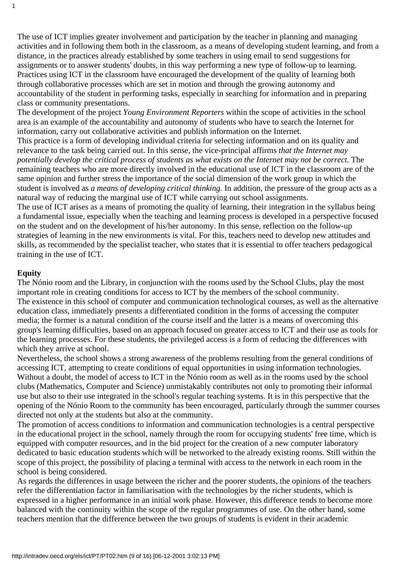The use of ICT implies greater involvement and participation by the teacher in planning and managing activities and in following them both in the classroom, as a means of developing student learning, and from a distance, in the practices already established by some teachers in using email to send suggestions for assignments or to answer students' doubts, in this way performing a new type of follow-up to learning. Practices using ICT in the classroom have encouraged the development of the quality of learning both through collaborative processes which are set in motion and through the growing autonomy and accountability of the student in performing tasks, especially in searching for information and in preparing class or community presentations.

The development of the project *Young Environment Reporters* within the scope of activities in the school area is an example of the accountability and autonomy of students who have to search the Internet for information, carry out collaborative activities and publish information on the Internet.

This practice is a form of developing individual criteria for selecting information and on its quality and relevance to the task being carried out. In this sense, the vice-principal affirms *that the Internet may potentially develop the critical process of students as what exists on the Internet may not be correct.* The remaining teachers who are more directly involved in the educational use of ICT in the classroom are of the same opinion and further stress the importance of the social dimension of the work group in which the student is involved as *a means of developing critical thinking.* In addition, the pressure of the group acts as a natural way of reducing the marginal use of ICT while carrying out school assignments.

The use of ICT arises as a means of promoting the quality of learning, their integration in the syllabus being a fundamental issue, especially when the teaching and learning process is developed in a perspective focused on the student and on the development of his/her autonomy. In this sense, reflection on the follow-up strategies of learning in the new environments is vital. For this, teachers need to develop new attitudes and skills, as recommended by the specialist teacher, who states that it is essential to offer teachers pedagogical training in the use of ICT.

## **Equity**

1

The Nónio room and the Library, in conjunction with the rooms used by the School Clubs, play the most important role in creating conditions for access to ICT by the members of the school community. The existence in this school of computer and communication technological courses, as well as the alternative education class, immediately presents a differentiated condition in the forms of accessing the computer media; the former is a natural condition of the course itself and the latter is a means of overcoming this group's learning difficulties, based on an approach focused on greater access to ICT and their use as tools for the learning processes. For these students, the privileged access is a form of reducing the differences with which they arrive at school.

Nevertheless, the school shows a strong awareness of the problems resulting from the general conditions of accessing ICT, attempting to create conditions of equal opportunities in using information technologies. Without a doubt, the model of access to ICT in the Nónio room as well as in the rooms used by the school clubs (Mathematics, Computer and Science) unmistakably contributes not only to promoting their informal use but also to their use integrated in the school's regular teaching systems. It is in this perspective that the opening of the Nónio Room to the community has been encouraged, particularly through the summer courses directed not only at the students but also at the community.

The promotion of access conditions to information and communication technologies is a central perspective in the educational project in the school, namely through the room for occupying students' free time, which is equipped with computer resources, and in the bid project for the creation of a new computer laboratory dedicated to basic education students which will be networked to the already existing rooms. Still within the scope of this project, the possibility of placing a terminal with access to the network in each room in the school is being considered.

As regards the differences in usage between the richer and the poorer students, the opinions of the teachers refer the differentiation factor in familiarisation with the technologies by the richer students, which is expressed in a higher performance in an initial work phase. However, this difference tends to become more balanced with the continuity within the scope of the regular programmes of use. On the other hand, some teachers mention that the difference between the two groups of students is evident in their academic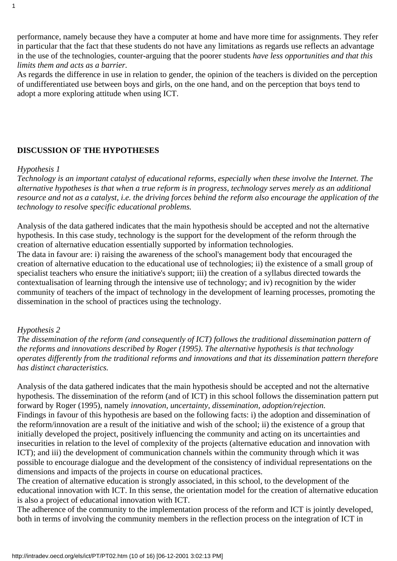performance, namely because they have a computer at home and have more time for assignments. They refer in particular that the fact that these students do not have any limitations as regards use reflects an advantage in the use of the technologies, counter-arguing that the poorer students *have less opportunities and that this limits them and acts as a barrier.*

As regards the difference in use in relation to gender, the opinion of the teachers is divided on the perception of undifferentiated use between boys and girls, on the one hand, and on the perception that boys tend to adopt a more exploring attitude when using ICT.

#### **DISCUSSION OF THE HYPOTHESES**

#### *Hypothesis 1*

*Technology is an important catalyst of educational reforms, especially when these involve the Internet. The alternative hypotheses is that when a true reform is in progress, technology serves merely as an additional resource and not as a catalyst, i.e. the driving forces behind the reform also encourage the application of the technology to resolve specific educational problems.*

Analysis of the data gathered indicates that the main hypothesis should be accepted and not the alternative hypothesis. In this case study, technology is the support for the development of the reform through the creation of alternative education essentially supported by information technologies.

The data in favour are: i) raising the awareness of the school's management body that encouraged the creation of alternative education to the educational use of technologies; ii) the existence of a small group of specialist teachers who ensure the initiative's support; iii) the creation of a syllabus directed towards the contextualisation of learning through the intensive use of technology; and iv) recognition by the wider community of teachers of the impact of technology in the development of learning processes, promoting the dissemination in the school of practices using the technology.

#### *Hypothesis 2*

*The dissemination of the reform (and consequently of ICT) follows the traditional dissemination pattern of the reforms and innovations described by Roger (1995). The alternative hypothesis is that technology operates differently from the traditional reforms and innovations and that its dissemination pattern therefore has distinct characteristics.*

Analysis of the data gathered indicates that the main hypothesis should be accepted and not the alternative hypothesis. The dissemination of the reform (and of ICT) in this school follows the dissemination pattern put forward by Roger (1995), namely *innovation, uncertainty, dissemination, adoption/rejection.* Findings in favour of this hypothesis are based on the following facts: i) the adoption and dissemination of the reform/innovation are a result of the initiative and wish of the school; ii) the existence of a group that initially developed the project, positively influencing the community and acting on its uncertainties and insecurities in relation to the level of complexity of the projects (alternative education and innovation with ICT); and iii) the development of communication channels within the community through which it was possible to encourage dialogue and the development of the consistency of individual representations on the dimensions and impacts of the projects in course on educational practices.

The creation of alternative education is strongly associated, in this school, to the development of the educational innovation with ICT. In this sense, the orientation model for the creation of alternative education is also a project of educational innovation with ICT.

The adherence of the community to the implementation process of the reform and ICT is jointly developed, both in terms of involving the community members in the reflection process on the integration of ICT in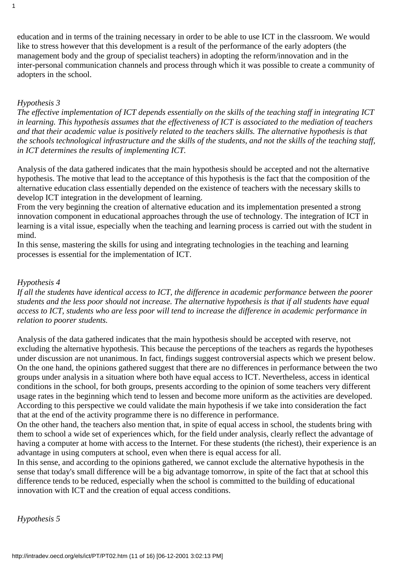education and in terms of the training necessary in order to be able to use ICT in the classroom. We would like to stress however that this development is a result of the performance of the early adopters (the management body and the group of specialist teachers) in adopting the reform/innovation and in the inter-personal communication channels and process through which it was possible to create a community of adopters in the school.

#### *Hypothesis 3*

*The effective implementation of ICT depends essentially on the skills of the teaching staff in integrating ICT in learning. This hypothesis assumes that the effectiveness of ICT is associated to the mediation of teachers and that their academic value is positively related to the teachers skills. The alternative hypothesis is that the schools technological infrastructure and the skills of the students, and not the skills of the teaching staff, in ICT determines the results of implementing ICT.*

Analysis of the data gathered indicates that the main hypothesis should be accepted and not the alternative hypothesis. The motive that lead to the acceptance of this hypothesis is the fact that the composition of the alternative education class essentially depended on the existence of teachers with the necessary skills to develop ICT integration in the development of learning.

From the very beginning the creation of alternative education and its implementation presented a strong innovation component in educational approaches through the use of technology. The integration of ICT in learning is a vital issue, especially when the teaching and learning process is carried out with the student in mind.

In this sense, mastering the skills for using and integrating technologies in the teaching and learning processes is essential for the implementation of ICT.

#### *Hypothesis 4*

*If all the students have identical access to ICT, the difference in academic performance between the poorer students and the less poor should not increase. The alternative hypothesis is that if all students have equal access to ICT, students who are less poor will tend to increase the difference in academic performance in relation to poorer students.*

Analysis of the data gathered indicates that the main hypothesis should be accepted with reserve, not excluding the alternative hypothesis. This because the perceptions of the teachers as regards the hypotheses under discussion are not unanimous. In fact, findings suggest controversial aspects which we present below. On the one hand, the opinions gathered suggest that there are no differences in performance between the two groups under analysis in a situation where both have equal access to ICT. Nevertheless, access in identical conditions in the school, for both groups, presents according to the opinion of some teachers very different usage rates in the beginning which tend to lessen and become more uniform as the activities are developed. According to this perspective we could validate the main hypothesis if we take into consideration the fact that at the end of the activity programme there is no difference in performance.

On the other hand, the teachers also mention that, in spite of equal access in school, the students bring with them to school a wide set of experiences which, for the field under analysis, clearly reflect the advantage of having a computer at home with access to the Internet. For these students (the richest), their experience is an advantage in using computers at school, even when there is equal access for all.

In this sense, and according to the opinions gathered, we cannot exclude the alternative hypothesis in the sense that today's small difference will be a big advantage tomorrow, in spite of the fact that at school this difference tends to be reduced, especially when the school is committed to the building of educational innovation with ICT and the creation of equal access conditions.

*Hypothesis 5*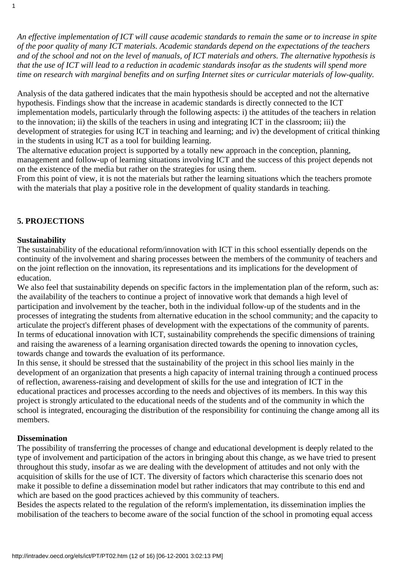*An effective implementation of ICT will cause academic standards to remain the same or to increase in spite of the poor quality of many ICT materials. Academic standards depend on the expectations of the teachers and of the school and not on the level of manuals, of ICT materials and others. The alternative hypothesis is that the use of ICT will lead to a reduction in academic standards insofar as the students will spend more time on research with marginal benefits and on surfing Internet sites or curricular materials of low-quality.*

Analysis of the data gathered indicates that the main hypothesis should be accepted and not the alternative hypothesis. Findings show that the increase in academic standards is directly connected to the ICT implementation models, particularly through the following aspects: i) the attitudes of the teachers in relation to the innovation; ii) the skills of the teachers in using and integrating ICT in the classroom; iii) the development of strategies for using ICT in teaching and learning; and iv) the development of critical thinking in the students in using ICT as a tool for building learning.

The alternative education project is supported by a totally new approach in the conception, planning, management and follow-up of learning situations involving ICT and the success of this project depends not on the existence of the media but rather on the strategies for using them.

From this point of view, it is not the materials but rather the learning situations which the teachers promote with the materials that play a positive role in the development of quality standards in teaching.

# **5. PROJECTIONS**

## **Sustainability**

1

The sustainability of the educational reform/innovation with ICT in this school essentially depends on the continuity of the involvement and sharing processes between the members of the community of teachers and on the joint reflection on the innovation, its representations and its implications for the development of education.

We also feel that sustainability depends on specific factors in the implementation plan of the reform, such as: the availability of the teachers to continue a project of innovative work that demands a high level of participation and involvement by the teacher, both in the individual follow-up of the students and in the processes of integrating the students from alternative education in the school community; and the capacity to articulate the project's different phases of development with the expectations of the community of parents. In terms of educational innovation with ICT, sustainability comprehends the specific dimensions of training and raising the awareness of a learning organisation directed towards the opening to innovation cycles, towards change and towards the evaluation of its performance.

In this sense, it should be stressed that the sustainability of the project in this school lies mainly in the development of an organization that presents a high capacity of internal training through a continued process of reflection, awareness-raising and development of skills for the use and integration of ICT in the educational practices and processes according to the needs and objectives of its members. In this way this project is strongly articulated to the educational needs of the students and of the community in which the school is integrated, encouraging the distribution of the responsibility for continuing the change among all its members.

## **Dissemination**

The possibility of transferring the processes of change and educational development is deeply related to the type of involvement and participation of the actors in bringing about this change, as we have tried to present throughout this study, insofar as we are dealing with the development of attitudes and not only with the acquisition of skills for the use of ICT. The diversity of factors which characterise this scenario does not make it possible to define a dissemination model but rather indicators that may contribute to this end and which are based on the good practices achieved by this community of teachers.

Besides the aspects related to the regulation of the reform's implementation, its dissemination implies the mobilisation of the teachers to become aware of the social function of the school in promoting equal access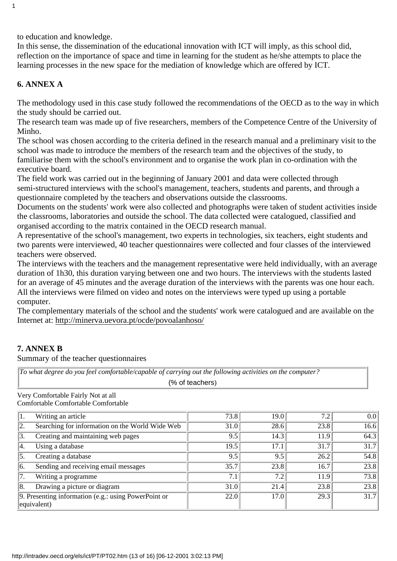to education and knowledge.

In this sense, the dissemination of the educational innovation with ICT will imply, as this school did, reflection on the importance of space and time in learning for the student as he/she attempts to place the learning processes in the new space for the mediation of knowledge which are offered by ICT.

# **6. ANNEX A**

1

The methodology used in this case study followed the recommendations of the OECD as to the way in which the study should be carried out.

The research team was made up of five researchers, members of the Competence Centre of the University of Minho.

The school was chosen according to the criteria defined in the research manual and a preliminary visit to the school was made to introduce the members of the research team and the objectives of the study, to familiarise them with the school's environment and to organise the work plan in co-ordination with the executive board.

The field work was carried out in the beginning of January 2001 and data were collected through semi-structured interviews with the school's management, teachers, students and parents, and through a questionnaire completed by the teachers and observations outside the classrooms.

Documents on the students' work were also collected and photographs were taken of student activities inside the classrooms, laboratories and outside the school. The data collected were catalogued, classified and organised according to the matrix contained in the OECD research manual.

A representative of the school's management, two experts in technologies, six teachers, eight students and two parents were interviewed, 40 teacher questionnaires were collected and four classes of the interviewed teachers were observed.

The interviews with the teachers and the management representative were held individually, with an average duration of 1h30, this duration varying between one and two hours. The interviews with the students lasted for an average of 45 minutes and the average duration of the interviews with the parents was one hour each. All the interviews were filmed on video and notes on the interviews were typed up using a portable computer.

The complementary materials of the school and the students' work were catalogued and are available on the Internet at: http://minerva.uevora.pt/ocde/povoalanhoso/

# **7. ANNEX B**

Summary of the teacher questionnaires

| $\parallel$ To what degree do you feel comfortable/capable of carrying out the following activities on the computer? |
|----------------------------------------------------------------------------------------------------------------------|
| (% of teachers)                                                                                                      |

Very Comfortable Fairly Not at all Comfortable Comfortable Comfortable

1. Writing an article  $\overline{73.8}$  19.0  $\overline{7.2}$   $\overline{7.2}$  0.0 2. Searching for information on the World Wide Web  $\boxed{31.0}$  28.6 23.8 23.8 16.6 3. Creating and maintaining web pages  $\boxed{9.5}$   $\boxed{14.3}$   $\boxed{11.9}$   $\boxed{64.3}$ 4. Using a database 19.5 17.1 31.7 31.7 31.7 31.7 5. Creating a database  $\overline{9.5}$   $\overline{9.5}$   $\overline{26.2}$  54.8  $\boxed{6.$  Sending and receiving email messages  $\boxed{35.7}$   $\boxed{23.8}$   $\boxed{16.7}$   $\boxed{23.8}$ 7. Writing a programme  $\boxed{7.1}$   $\boxed{7.2}$   $\boxed{11.9}$   $\boxed{73.8}$ 8. Drawing a picture or diagram 31.0 23.8 23.8 23.8 9. Presenting information (e.g.: using PowerPoint or equivalent) 22.0  $17.0$  29.3 31.7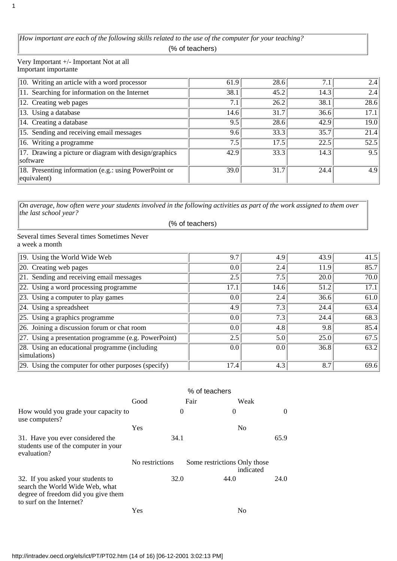*How important are each of the following skills related to the use of the computer for your teaching?* (% of teachers)

Very Important +/- Important Not at all Important importante

1

| 10. Writing an article with a word processor                         | 61.9 | 28.6 | 7.1  | 2.4  |
|----------------------------------------------------------------------|------|------|------|------|
| 11. Searching for information on the Internet                        | 38.1 | 45.2 | 14.3 | 2.4  |
| 12. Creating web pages                                               | 7.1  | 26.2 | 38.1 | 28.6 |
| 13. Using a database                                                 | 14.6 | 31.7 | 36.6 | 17.1 |
| 14. Creating a database                                              | 9.5  | 28.6 | 42.9 | 19.0 |
| 15. Sending and receiving email messages                             | 9.6  | 33.3 | 35.7 | 21.4 |
| 16. Writing a programme                                              | 7.5  | 17.5 | 22.5 | 52.5 |
| 17. Drawing a picture or diagram with design/graphics<br> software   | 42.9 | 33.3 | 14.3 | 9.5  |
| 18. Presenting information (e.g.: using PowerPoint or<br>equivalent) | 39.0 | 31.7 | 24.4 | 4.9  |

*On average, how often were your students involved in the following activities as part of the work assigned to them over the last school year?*

(% of teachers)

Several times Several times Sometimes Never a week a month

| 19. Using the World Wide Web                                | 9.7  | 4.9     | 43.9 | 41.5 |
|-------------------------------------------------------------|------|---------|------|------|
| $\vert$ 20. Creating web pages                              | 0.0  | 2.4     | 11.9 | 85.7 |
| $\sqrt{21}$ . Sending and receiving email messages          | 2.5  | 7.5     | 20.0 | 70.0 |
| 22. Using a word processing programme                       | 17.1 | 14.6    | 51.2 | 17.1 |
| $\vert$ 23. Using a computer to play games                  | 0.0  | 2.4     | 36.6 | 61.0 |
| $\vert$ 24. Using a spreadsheet                             | 4.9  | 7.3     | 24.4 | 63.4 |
| $\left 25. \right\rangle$ Using a graphics programme        | 0.0  | 7.3     | 24.4 | 68.3 |
| $\left 26. \right $ Joining a discussion forum or chat room | 0.0  | 4.8     | 9.8  | 85.4 |
| 27. Using a presentation programme (e.g. PowerPoint)        | 2.5  | 5.0     | 25.0 | 67.5 |
| 28. Using an educational programme (including               | 0.0  | $0.0\,$ | 36.8 | 63.2 |
| simulations)                                                |      |         |      |      |
| $ 29.$ Using the computer for other purposes (specify)      | 17.4 | 4.3     | 8.7  | 69.6 |

|                                                                                                                                         | % of teachers   |          |                              |                |      |  |
|-----------------------------------------------------------------------------------------------------------------------------------------|-----------------|----------|------------------------------|----------------|------|--|
|                                                                                                                                         | Good            |          | Fair                         | Weak           |      |  |
| How would you grade your capacity to<br>use computers?                                                                                  |                 | $\Omega$ | $\theta$                     |                | 0    |  |
|                                                                                                                                         | Yes             |          |                              | N <sub>0</sub> |      |  |
| 31. Have you ever considered the<br>students use of the computer in your<br>evaluation?                                                 | 34.1            |          |                              |                | 65.9 |  |
|                                                                                                                                         | No restrictions |          | Some restrictions Only those | indicated      |      |  |
| 32. If you asked your students to<br>search the World Wide Web, what<br>degree of freedom did you give them<br>to surf on the Internet? |                 | 32.0     | 44.0                         |                | 24.0 |  |
|                                                                                                                                         | Yes             |          |                              | N <sub>0</sub> |      |  |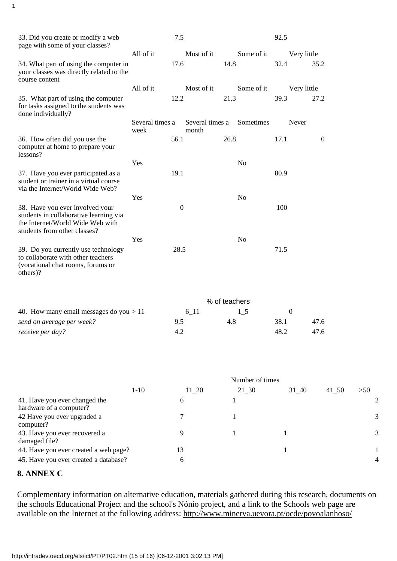| 33. Did you create or modify a web<br>page with some of your classes?                                                                         |                         | 7.5              |                          |      |                | 92.5 |                  |                  |          |       |   |
|-----------------------------------------------------------------------------------------------------------------------------------------------|-------------------------|------------------|--------------------------|------|----------------|------|------------------|------------------|----------|-------|---|
|                                                                                                                                               | All of it               |                  | Most of it               |      | Some of it     |      | Very little      |                  |          |       |   |
| 34. What part of using the computer in<br>your classes was directly related to the<br>course content                                          |                         | 17.6             |                          | 14.8 |                | 32.4 |                  | 35.2             |          |       |   |
|                                                                                                                                               | All of it               |                  | Most of it               |      | Some of it     |      | Very little      |                  |          |       |   |
| 35. What part of using the computer<br>for tasks assigned to the students was<br>done individually?                                           |                         | 12.2             |                          | 21.3 |                | 39.3 |                  | 27.2             |          |       |   |
|                                                                                                                                               | Several times a<br>week |                  | Several times a<br>month |      | Sometimes      |      | Never            |                  |          |       |   |
| 36. How often did you use the<br>computer at home to prepare your<br>lessons?                                                                 |                         | 56.1             |                          | 26.8 |                | 17.1 |                  | $\boldsymbol{0}$ |          |       |   |
|                                                                                                                                               | Yes                     |                  |                          |      | No             |      |                  |                  |          |       |   |
| 37. Have you ever participated as a<br>student or trainer in a virtual course<br>via the Internet/World Wide Web?                             |                         | 19.1             |                          |      |                | 80.9 |                  |                  |          |       |   |
|                                                                                                                                               | Yes                     |                  |                          |      | No             |      |                  |                  |          |       |   |
| 38. Have you ever involved your<br>students in collaborative learning via<br>the Internet/World Wide Web with<br>students from other classes? |                         | $\boldsymbol{0}$ |                          |      |                | 100  |                  |                  |          |       |   |
|                                                                                                                                               | Yes                     |                  |                          |      | N <sub>0</sub> |      |                  |                  |          |       |   |
| 39. Do you currently use technology<br>to collaborate with other teachers<br>(vocational chat rooms, forums or<br>others)?                    |                         | 28.5             |                          |      |                | 71.5 |                  |                  |          |       |   |
|                                                                                                                                               |                         |                  |                          |      | % of teachers  |      |                  |                  |          |       |   |
| 40. How many email messages do you $>11$                                                                                                      |                         |                  | $6 - 11$                 |      | $1\_5$         |      | $\boldsymbol{0}$ |                  |          |       |   |
| send on average per week?                                                                                                                     |                         | 9.5              |                          | 4.8  |                | 38.1 |                  | 47.6             |          |       |   |
| receive per day?                                                                                                                              |                         | 4.2              |                          |      |                | 48.2 |                  | 47.6             |          |       |   |
|                                                                                                                                               |                         |                  |                          |      |                |      |                  |                  |          |       |   |
|                                                                                                                                               |                         | Number of times  |                          |      |                |      |                  |                  |          |       |   |
| 41. Have you ever changed the                                                                                                                 | $1 - 10$                | 6                | $11\_20$                 | 1    | $21\_30$       |      | $31 - 40$        |                  | $41\_50$ | $>50$ | 2 |
| hardware of a computer?<br>42 Have you ever upgraded a                                                                                        |                         | 7                |                          | 1    |                |      |                  |                  |          |       | 3 |
| computer?<br>43. Have you ever recovered a                                                                                                    |                         | 9                |                          |      |                | 1    |                  |                  |          |       | 3 |

Complementary information on alternative education, materials gathered during this research, documents on the schools Educational Project and the school's Nónio project, and a link to the Schools web page are available on the Internet at the following address: http://www.minerva.uevora.pt/ocde/povoalanhoso/

44. Have you ever created a web page? 13 1 1 45. Have you ever created a database? 6 6 4 4

damaged file?

**8. ANNEX C**